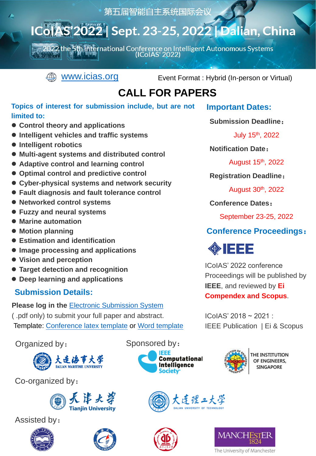第五届智能自主系统国际会议

## IColAS'2022 Sept. 23-25, 2022 | Dalian, China

2022 the 5th International Conference on Intelligent Autonomous Systems<br>(ICoIAS' 2022)



WWW.icias.org Event Format : Hybrid (In-person or Virtual)

## **CALL FOR PAPERS**

#### **Topics of interest for submission include, but are not limited to:**

- ⚫ **Control theory and applications**
- ⚫ **Intelligent vehicles and traffic systems**
- ⚫ **Intelligent robotics**
- ⚫ **Multi-agent systems and distributed control**
- ⚫ **Adaptive control and learning control**
- ⚫ **Optimal control and predictive control**
- ⚫ **Cyber-physical systems and network security**
- ⚫ **Fault diagnosis and fault tolerance control**
- ⚫ **Networked control systems**
- ⚫ **Fuzzy and neural systems**
- ⚫ **Marine automation**
- ⚫ **Motion planning**
- ⚫ **Estimation and identification**
- ⚫ **Image processing and applications**
- ⚫ **Vision and perception**
- ⚫ **Target detection and recognition**
- ⚫ **Deep learning and applications**

### **Submission Details:**

**Please log in the** [Electronic Submission System](https://easychair.org/conferences/?conf=icoias2022) ( .pdf only) to submit your full paper and abstract. Template: [Conference latex template](http://www.icias.org/ieee-latex-conference-template.zip) or [Word template](http://www.icias.org/IEEE-Formatting.docx)



Co-organized by:



Assisted by:





Organized by: Sponsored by:





THE INSTITUTION OF ENGINEERS, **SINGAPORE** 







The University of Manchester

**Important Dates:**

**Submission Deadline**:

July 15th, 2022

**Notification Date**:

August 15th, 2022

**Registration Deadline**:

August 30th, 2022

**Conference Dates**:

September 23-25, 2022

## **Conference Proceedings**:

# **OBJEET**

ICoIAS' 2022 conference Proceedings will be published by **IEEE**, and reviewed by **Ei Compendex and Scopus**.

 $IColAS' 2018 \approx 2021$ IEEE Publication | Ei & Scopus